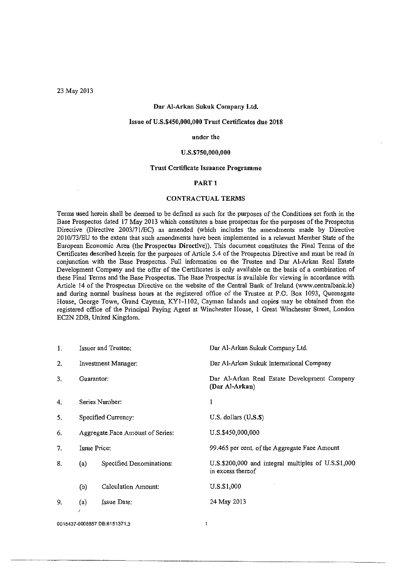### Dar Al-Arkan Sukuk Company Ltd.

# Issue of U.S.\$450,000,000 Trust Certificates due 2018

#### under the

#### U .S.\$750,000,000

### Trust Certificate Issuance Programme

### PART 1

### CONTRACTUAL TERMS

Terms used herein shall be deemed to be defined as such for the purposes of the Conditions set forth in the Base Prospectus dated 17 May 2013 which constitutes a base prospectus for the purposes of the Prospectus Directive (Directive 2003/71/EC) as amended (which includes the amendments made by Directive 2010/73IEU to the extent that such amendments have been implemented in a relevant Member State of the European Economic Area (the Prospectus Directive)). This document constitutes the Final Terms of the Certificates described herein for the purposes of Article 5.4 of the Prospectus Directive and must be read in conjunction with the Base Prospectus. Full information on the Trustee and Dar AI-Arkan Real Estate Development Company and the offer of the Certificates is only available on the basis of a combination of these Final Terms and the Base Prospectus. The Base Prospectus is available for viewing in accordance with Article 14 of the Prospectus Directive on the website of the Central Bank of Ireland (www.centralbank.ie) and during normal business hours at the registered office of the Trustee at P.O. Box 1093, Queensgate House, George Town, Grand Cayman, KYI-ll02, Cayman Islands and copies may be obtained from the registered office of the Principal Paying Agent at Winchester House, I Great Winchester Street, London EC2N 2DB, United Kingdom.

| 1. | Issuer and Trustee: |                                  | Dar Al-Arkan Sukuk Company Ltd.                                          |  |  |
|----|---------------------|----------------------------------|--------------------------------------------------------------------------|--|--|
| 2. |                     | Investment Manager:              | Dar Al-Arkan Sukuk International Company                                 |  |  |
| 3. | Guarantor:          |                                  | Dar Al-Arkan Real Estate Development Company<br>(Dar Al-Arkan)           |  |  |
| 4. |                     | Series Number:                   | 1                                                                        |  |  |
| 5. |                     | Specified Currency:              | U.S. dollars (U.S.\$)                                                    |  |  |
| 6. |                     | Aggregate Face Amount of Series: | U.S.\$450,000,000                                                        |  |  |
| 7. | Issue Price:        |                                  | 99.465 per cent. of the Aggregate Face Amount                            |  |  |
| 8. | (a)                 | Specified Denominations:         | U.S.\$200,000 and integral multiples of U.S.\$1,000<br>in excess thereof |  |  |
|    | (b)                 | Calculation Amount:              | $U.S.$ \$1,000                                                           |  |  |
| 9. | (a)                 | Issue Date:                      | 24 May 2013                                                              |  |  |

0015437~OOO8857 **DB:6151371.3** 

 $\mathbf{1}$ 

------------------------- -------------------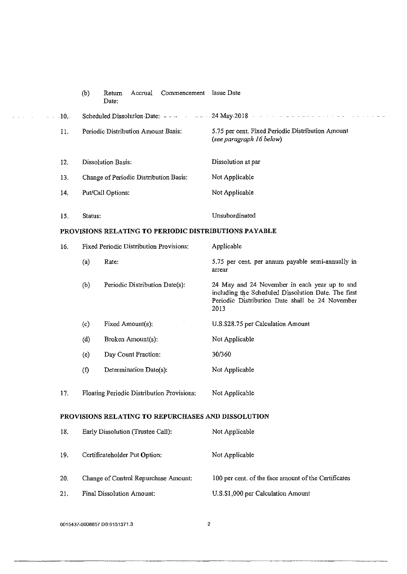|        | (b)                                        | Return<br>Date:    | Accrual                        | Commencement Issue Date                 |                                                                                                                                                                 |
|--------|--------------------------------------------|--------------------|--------------------------------|-----------------------------------------|-----------------------------------------------------------------------------------------------------------------------------------------------------------------|
| $-10.$ |                                            |                    |                                |                                         |                                                                                                                                                                 |
| 11.    | Periodic Distribution Amount Basis:        |                    |                                |                                         | 5.75 per cent. Fixed Periodic Distribution Amount<br>(see paragraph 16 below)                                                                                   |
| 12.    |                                            | Dissolution Basis: |                                |                                         | Dissolution at par                                                                                                                                              |
| 13.    | Change of Periodic Distribution Basis:     |                    |                                |                                         | Not Applicable                                                                                                                                                  |
| 14.    | Put/Call Options.                          |                    |                                |                                         | Not Applicable                                                                                                                                                  |
| 15.    | Status:                                    |                    |                                |                                         | Unsubordinated                                                                                                                                                  |
|        |                                            |                    |                                |                                         | PROVISIONS RELATING TO PERIODIC DISTRIBUTIONS PAYABLE                                                                                                           |
| 16.    |                                            |                    |                                | Fixed Periodic Distribution Provisions: | Applicable                                                                                                                                                      |
|        | (a)                                        | Rate:              |                                |                                         | 5.75 per cent. per annum payable semi-annually in<br>arrear                                                                                                     |
|        | (b)                                        |                    | Periodic Distribution Date(s): |                                         | 24 May and 24 November in each year up to and<br>including the Scheduled Dissolution Date. The first<br>Periodic Distribution Date shall be 24 November<br>2013 |
|        | (c)                                        |                    | Fixed Amount(s):               |                                         | U.S.\$28.75 per Calculation Amount                                                                                                                              |
|        | (d)                                        |                    | Broken Amount(s):              |                                         | Not Applicable                                                                                                                                                  |
|        | (e)                                        |                    | Day Count Fraction:            |                                         | 30/360                                                                                                                                                          |
|        | (f)                                        |                    | Determination Date(s):         |                                         | Not Applicable                                                                                                                                                  |
| 17.    | Floating Periodic Distribution Provisions: |                    |                                | Not Applicable                          |                                                                                                                                                                 |
|        |                                            |                    |                                |                                         | PROVISIONS RELATING TO REPURCHASES AND DISSOLUTION                                                                                                              |
| 18.    | Early Dissolution (Trustee Call):          |                    |                                | Not Applicable                          |                                                                                                                                                                 |
| 19.    | Certificateholder Put Option:              |                    |                                |                                         | Not Applicable                                                                                                                                                  |
| 20.    |                                            |                    |                                | Change of Control Repurchase Amount:    | 100 per cent. of the face amount of the Certificates                                                                                                            |
| 21.    | Final Dissolution Amount:                  |                    |                                |                                         | U.S.\$1,000 per Calculation Amount                                                                                                                              |
|        |                                            |                    |                                |                                         |                                                                                                                                                                 |

 $\Delta\left(\Delta\right)$  and  $\Delta\left(\Delta\right)$  are  $\Delta\left(\Delta\right)$ 

-------------------------------------------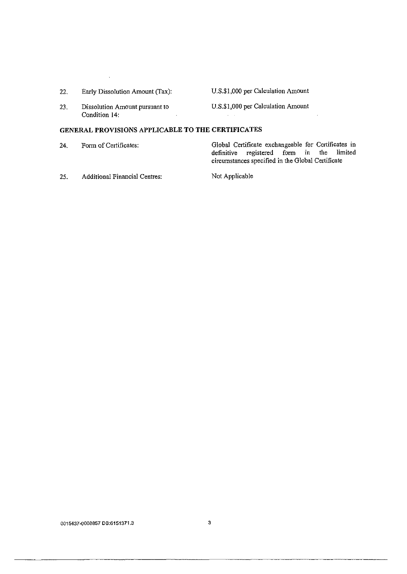22. Early Dissolution Amount (Tax):

# U.S.\$I,OOO per Calculation Amount

23. Dissolution Amount pursuant to Condition 14:

# U.S.SI,OOO per Calculation Amount

# **GENERAL PROVISIONS APPLICABLE TO THE CERTIFICATES**

24. Form of Certificates: 25. Additional Financial Centres: Global Certificate exchangeable for Certificates in definitive registered form in the limited circumstances specified in the Global Certificate Not Applicable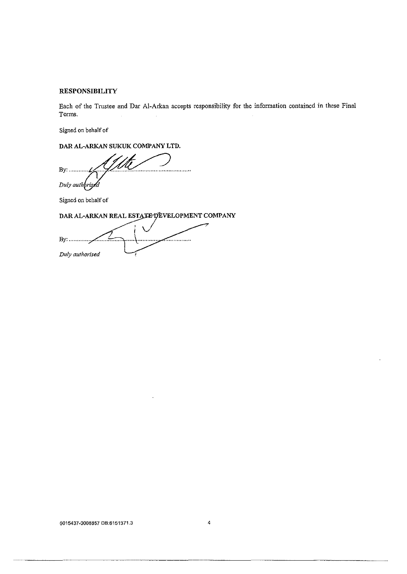# **RESPONSIBILITY**

Each of the Trustee and Dar Al-Arkan accepts responsibility for the information containcd in these Final Terms.

Signed on behalf of

**DAR AL-ARKAN SUKUK COMPANY LTD.** 

:,;~;g~ *.....* 

Signed on behalf of

DAR AL-ARKAN REAL ESTATE DEVELOPMENT COMPANY

**By:** ..............<sub>2</sub> . . . . . . . . . . . . . . *Duly authorised*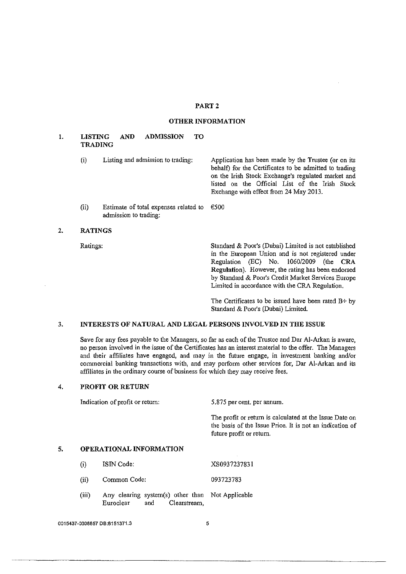### PART 2

#### **OTHER INFORMATION**

# 1. **LISTING AND ADMISSION TO TRADING**

(i) Listing and admission to trading: Application has been made by the Trustee (or on its behalf) for the Certificates to be admitted to trading on the Irish Stock Exchange's regulated market and listed on the Official List of the Irish Stock Exchange with effect from 24 May 2013.

- (ii) Estimate of total expenses related to  $\epsilon$ 500 admission to trading:
- 2. **RATINGS**

Ratings: Standard & Poor's (Dubai) Limited is not established **in the European Union and is not registered under**  Regulation (EC) No. 1060/2009 (the CRA Regulation). However, the rating has been endorsed by Standard & Poor's Credit Market Services Europe Limited in accordance with the CRA Regulation.

> The Certificates to be issued have been rated B+ by Standard & Poor's (Dubai) Limited.

# 3. **INTERESTS OF NATURAL AND LEGAL PERSONS INVOLVED IN THE ISSUE**

Save for any fees payable to the Managers, so far as each of the Trustee and Dar Al-Arkan is aware, no person involved in the issue of the Certificates has an interest material to the offer. The Managers and their affiliates have engaged, and may in the futore engage, in investment banking and/or commercial banking transactions with, and may perform other services for, Dar Al-Arkan and its affiliates in the ordinary course of business for which they may receive fees.

### 4. **PROFIT OR RETURN**

Indication of profit or retorn:

5.875 per cent. per annum.

The profit or return is calculated at the Issue Date on the basis of the Issue Price. It is not an indication of future profit or return.

# 5. OPERATIONAL INFORMATION

- (i) ISIN Code: (ii) Common Code: XS093723783I 093723783
- (iii) Any clearing system(s) other than Not Applicable **Euroclear and Clearstream)**